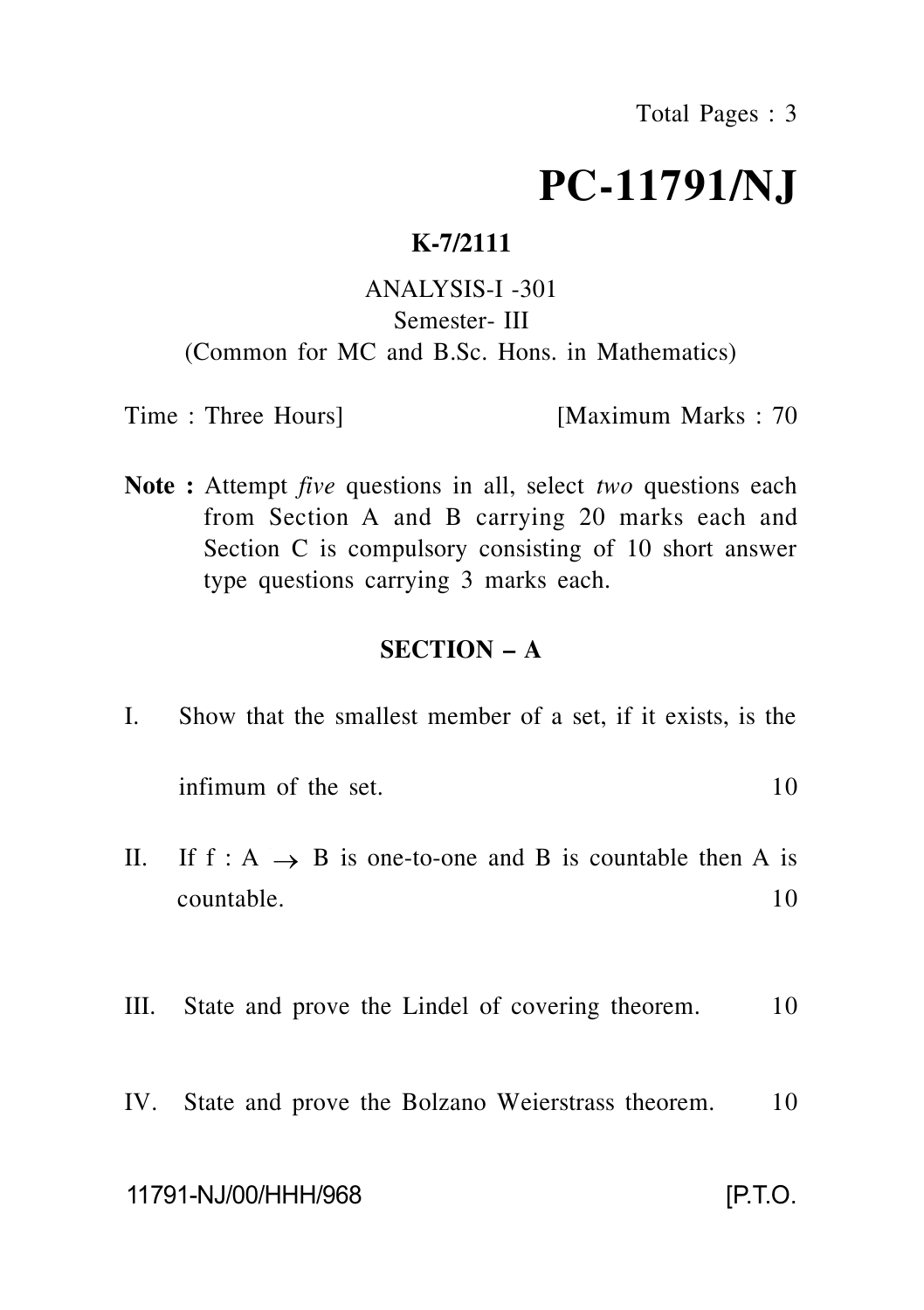# **PC-11791/NJ**

#### **K-7/2111**

## ANALYSIS-I -301 Semester- III (Common for MC and B.Sc. Hons. in Mathematics)

Time : Three Hours] [Maximum Marks : 70

**Note :** Attempt *five* questions in all, select *two* questions each from Section A and B carrying 20 marks each and Section C is compulsory consisting of 10 short answer type questions carrying 3 marks each.

### **SECTION – A**

| Т.   | Show that the smallest member of a set, if it exists, is the                      |    |
|------|-----------------------------------------------------------------------------------|----|
|      | infimum of the set.                                                               | 10 |
| П.   | If $f : A \rightarrow B$ is one-to-one and B is countable then A is<br>countable. | 10 |
| III. | State and prove the Lindel of covering theorem.                                   | 10 |

IV. State and prove the Bolzano Weierstrass theorem. 10

11791-NJ/00/HHH/968 [P.T.O.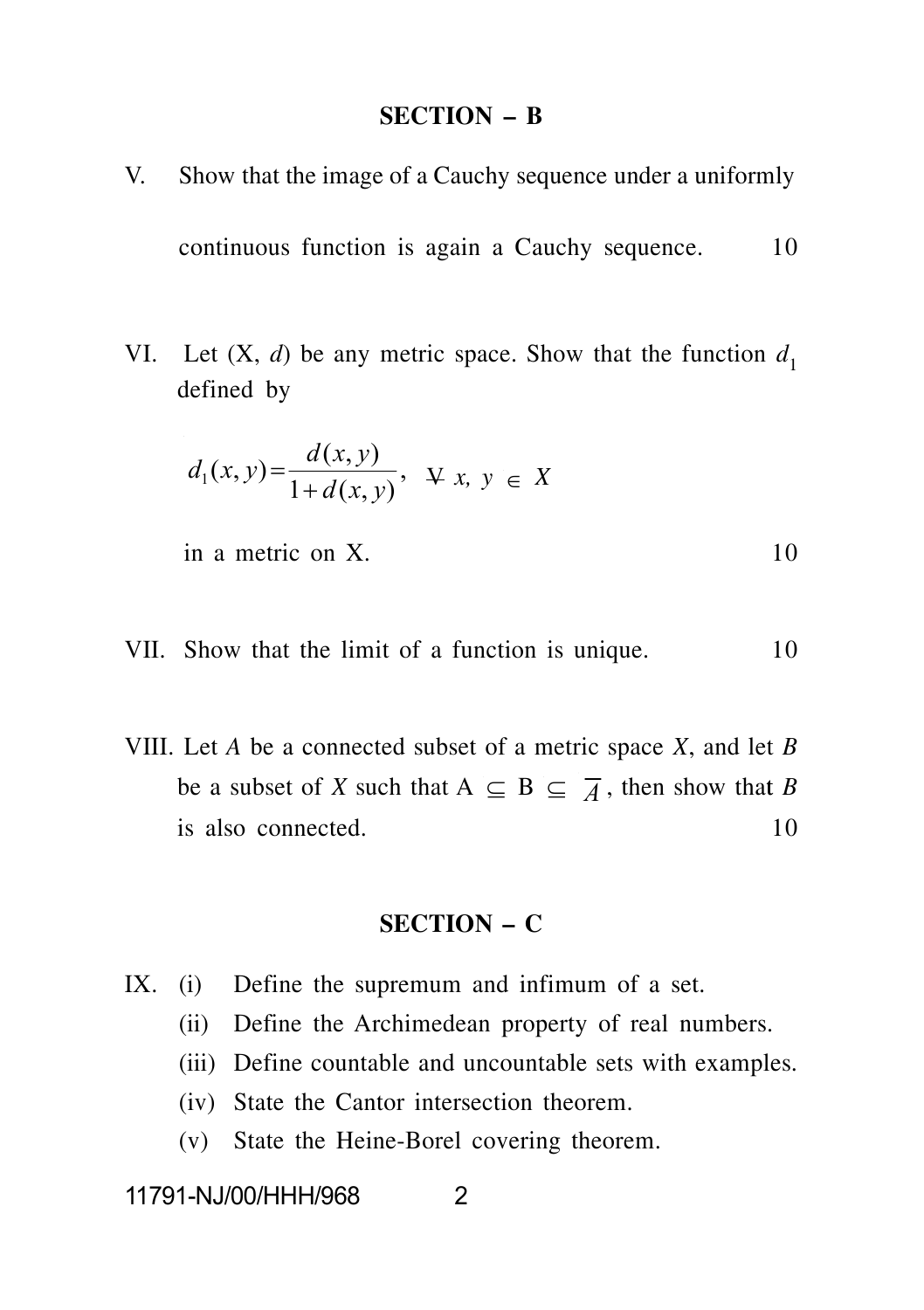#### **SECTION – B**

- V. Show that the image of a Cauchy sequence under a uniformly continuous function is again a Cauchy sequence. 10
- VI. Let  $(X, d)$  be any metric space. Show that the function  $d_1$ defined by

$$
d_1(x, y) = \frac{d(x, y)}{1 + d(x, y)}, \quad \forall x, y \in X
$$

- $\lambda$  in a metric on X. 10
- VII. Show that the limit of a function is unique. 10
- VIII. Let *A* be a connected subset of a metric space *X*, and let *B* be a subset of *X* such that  $A \subseteq B \subseteq \overline{A}$ , then show that *B* is also connected. 10

## **SECTION – C**

- IX. (i) Define the supremum and infimum of a set.
	- (ii) Define the Archimedean property of real numbers.
	- (iii) Define countable and uncountable sets with examples.
	- (iv) State the Cantor intersection theorem.
	- (v) State the Heine-Borel covering theorem.

#### 11791-NJ/00/HHH/968 2